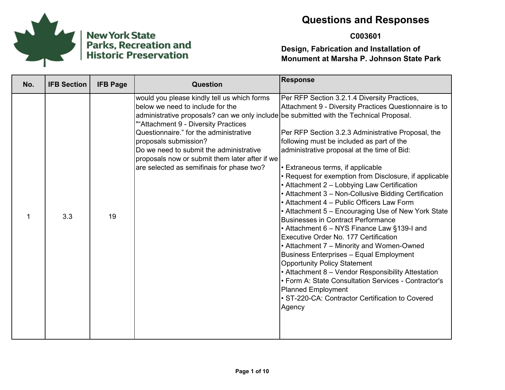

# New York State<br>Parks, Recreation and<br>Historic Preservation

# **Questions and Responses**

## **C003601**

| No. | <b>IFB Section</b> | <b>IFB Page</b> | <b>Question</b>                                                                                                                                                                                                                                                                                                                                                                                                                 | <b>Response</b>                                                                                                                                                                                                                                                                                                                                                                                                                                                                                                                                                                                                                                                                                                                                                                                                                                                                                                                                                                                                                                |
|-----|--------------------|-----------------|---------------------------------------------------------------------------------------------------------------------------------------------------------------------------------------------------------------------------------------------------------------------------------------------------------------------------------------------------------------------------------------------------------------------------------|------------------------------------------------------------------------------------------------------------------------------------------------------------------------------------------------------------------------------------------------------------------------------------------------------------------------------------------------------------------------------------------------------------------------------------------------------------------------------------------------------------------------------------------------------------------------------------------------------------------------------------------------------------------------------------------------------------------------------------------------------------------------------------------------------------------------------------------------------------------------------------------------------------------------------------------------------------------------------------------------------------------------------------------------|
| 1   | 3.3                | 19              | would you please kindly tell us which forms<br>below we need to include for the<br>administrative proposals? can we only include be submitted with the Technical Proposal.<br>""Attachment 9 - Diversity Practices<br>Questionnaire." for the administrative<br>proposals submission?<br>Do we need to submit the administrative<br>proposals now or submit them later after if we<br>are selected as semifinais for phase two? | Per RFP Section 3.2.1.4 Diversity Practices,<br>Attachment 9 - Diversity Practices Questionnaire is to<br>Per RFP Section 3.2.3 Administrative Proposal, the<br>following must be included as part of the<br>administrative proposal at the time of Bid:<br>• Extraneous terms, if applicable<br>• Request for exemption from Disclosure, if applicable<br>• Attachment 2 - Lobbying Law Certification<br>• Attachment 3 - Non-Collusive Bidding Certification<br>• Attachment 4 – Public Officers Law Form<br>• Attachment 5 - Encouraging Use of New York State<br><b>Businesses in Contract Performance</b><br>• Attachment 6 – NYS Finance Law §139-I and<br>Executive Order No. 177 Certification<br>• Attachment 7 - Minority and Women-Owned<br>Business Enterprises - Equal Employment<br><b>Opportunity Policy Statement</b><br>• Attachment 8 - Vendor Responsibility Attestation<br>• Form A: State Consultation Services - Contractor's<br><b>Planned Employment</b><br>• ST-220-CA: Contractor Certification to Covered<br>Agency |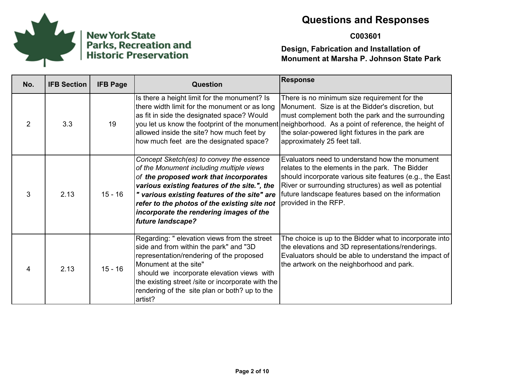

# New York State<br>Parks, Recreation and<br>Historic Preservation

# **Questions and Responses**

#### **C003601**

| No. | <b>IFB Section</b> | <b>IFB Page</b> | <b>Question</b>                                                                                                                                                                                                                                                                                                                                | <b>Response</b>                                                                                                                                                                                                                                                                                                                                 |
|-----|--------------------|-----------------|------------------------------------------------------------------------------------------------------------------------------------------------------------------------------------------------------------------------------------------------------------------------------------------------------------------------------------------------|-------------------------------------------------------------------------------------------------------------------------------------------------------------------------------------------------------------------------------------------------------------------------------------------------------------------------------------------------|
| 2   | 3.3                | 19              | Is there a height limit for the monument? Is<br>there width limit for the monument or as long<br>as fit in side the designated space? Would<br>allowed inside the site? how much feet by<br>how much feet are the designated space?                                                                                                            | There is no minimum size requirement for the<br>Monument. Size is at the Bidder's discretion, but<br>must complement both the park and the surrounding<br>you let us know the footprint of the monument neighborhood. As a point of reference, the height of<br>the solar-powered light fixtures in the park are<br>approximately 25 feet tall. |
| 3   | 2.13               | $15 - 16$       | Concept Sketch(es) to convey the essence<br>of the Monument including multiple views<br>of the proposed work that incorporates<br>various existing features of the site.", the<br>" various existing features of the site" are<br>refer to the photos of the existing site not<br>incorporate the rendering images of the<br>future landscape? | Evaluators need to understand how the monument<br>relates to the elements in the park. The Bidder<br>should incorporate various site features (e.g., the East<br>River or surrounding structures) as well as potential<br>future landscape features based on the information<br>Iprovided in the RFP.                                           |
| 4   | 2.13               | $15 - 16$       | Regarding: " elevation views from the street<br>side and from within the park" and "3D<br>representation/rendering of the proposed<br>Monument at the site"<br>should we incorporate elevation views with<br>the existing street /site or incorporate with the<br>rendering of the site plan or both? up to the<br>artist?                     | The choice is up to the Bidder what to incorporate into<br>the elevations and 3D representations/renderings.<br>Evaluators should be able to understand the impact of<br>the artwork on the neighborhood and park.                                                                                                                              |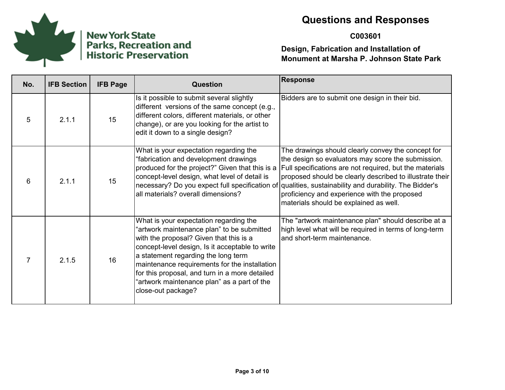

#### **C003601**

| No. | <b>IFB Section</b> | <b>IFB Page</b> | Question                                                                                                                                                                                                                                                                                                                                                                                          | <b>Response</b>                                                                                                                                                                                                                                                                                                                                                                                                                      |
|-----|--------------------|-----------------|---------------------------------------------------------------------------------------------------------------------------------------------------------------------------------------------------------------------------------------------------------------------------------------------------------------------------------------------------------------------------------------------------|--------------------------------------------------------------------------------------------------------------------------------------------------------------------------------------------------------------------------------------------------------------------------------------------------------------------------------------------------------------------------------------------------------------------------------------|
| 5   | 2.1.1              | 15              | Is it possible to submit several slightly<br>different versions of the same concept (e.g.,<br>different colors, different materials, or other<br>change), or are you looking for the artist to<br>edit it down to a single design?                                                                                                                                                                | Bidders are to submit one design in their bid.                                                                                                                                                                                                                                                                                                                                                                                       |
| 6   | 2.1.1              | 15              | What is your expectation regarding the<br>"fabrication and development drawings<br>produced for the project?" Given that this is a<br>concept-level design, what level of detail is<br>all materials? overall dimensions?                                                                                                                                                                         | The drawings should clearly convey the concept for<br>the design so evaluators may score the submission.<br>Full specifications are not required, but the materials<br>proposed should be clearly described to illustrate their  <br>necessary? Do you expect full specification of qualities, sustainability and durability. The Bidder's<br>proficiency and experience with the proposed<br>materials should be explained as well. |
|     | 2.1.5              | 16              | What is your expectation regarding the<br>"artwork maintenance plan" to be submitted<br>with the proposal? Given that this is a<br>concept-level design, Is it acceptable to write<br>a statement regarding the long term<br>maintenance requirements for the installation<br>for this proposal, and turn in a more detailed<br>"artwork maintenance plan" as a part of the<br>close-out package? | The "artwork maintenance plan" should describe at a<br>high level what will be required in terms of long-term<br>and short-term maintenance.                                                                                                                                                                                                                                                                                         |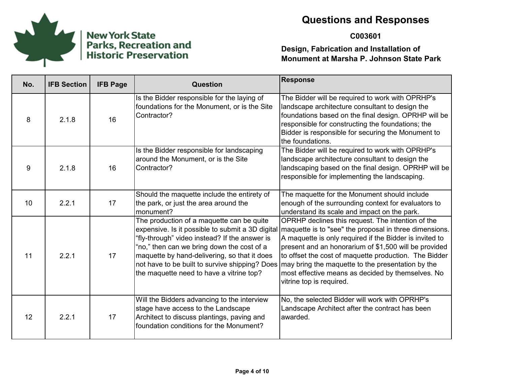

#### **C003601**

| No. | <b>IFB Section</b> | <b>IFB Page</b> | <b>Question</b>                                                                                                                                                                                                                                                                        | <b>Response</b>                                                                                                                                                                                                                                                                                                                                                                                                                                                                 |
|-----|--------------------|-----------------|----------------------------------------------------------------------------------------------------------------------------------------------------------------------------------------------------------------------------------------------------------------------------------------|---------------------------------------------------------------------------------------------------------------------------------------------------------------------------------------------------------------------------------------------------------------------------------------------------------------------------------------------------------------------------------------------------------------------------------------------------------------------------------|
| 8   | 2.1.8              | 16              | Is the Bidder responsible for the laying of<br>foundations for the Monument, or is the Site<br>Contractor?                                                                                                                                                                             | The Bidder will be required to work with OPRHP's<br>landscape architecture consultant to design the<br>foundations based on the final design. OPRHP will be<br>responsible for constructing the foundations; the<br>Bidder is responsible for securing the Monument to<br>the foundations.                                                                                                                                                                                      |
| 9   | 2.1.8              | 16              | Is the Bidder responsible for landscaping<br>around the Monument, or is the Site<br>Contractor?                                                                                                                                                                                        | The Bidder will be required to work with OPRHP's<br>landscape architecture consultant to design the<br>landscaping based on the final design. OPRHP will be<br>responsible for implementing the landscaping.                                                                                                                                                                                                                                                                    |
| 10  | 2.2.1              | 17              | Should the maquette include the entirety of<br>the park, or just the area around the<br>monument?                                                                                                                                                                                      | The maquette for the Monument should include<br>enough of the surrounding context for evaluators to<br>understand its scale and impact on the park.                                                                                                                                                                                                                                                                                                                             |
| 11  | 2.2.1              | 17              | The production of a maquette can be quite<br>'fly-through" video instead? If the answer is<br>"no," then can we bring down the cost of a<br>maquette by hand-delivering, so that it does<br>not have to be built to survive shipping? Does<br>the maquette need to have a vitrine top? | OPRHP declines this request. The intention of the<br>expensive. Is it possible to submit a 3D digital maquette is to "see" the proposal in three dimensions.<br>A maquette is only required if the Bidder is invited to<br>present and an honorarium of \$1,500 will be provided<br>to offset the cost of maquette production. The Bidder<br>may bring the maquette to the presentation by the<br>most effective means as decided by themselves. No<br>vitrine top is required. |
| 12  | 2.2.1              | 17              | Will the Bidders advancing to the interview<br>stage have access to the Landscape<br>Architect to discuss plantings, paving and<br>foundation conditions for the Monument?                                                                                                             | No, the selected Bidder will work with OPRHP's<br>Landscape Architect after the contract has been<br>awarded.                                                                                                                                                                                                                                                                                                                                                                   |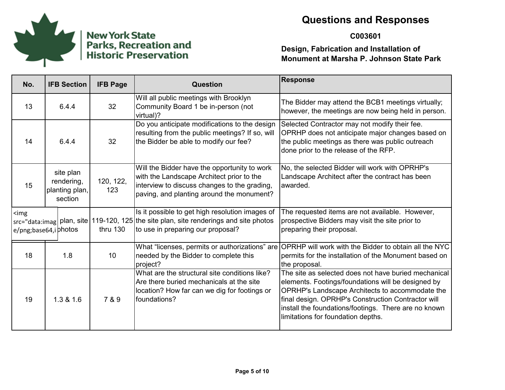

#### **C003601**

| No.                                 | <b>IFB Section</b>                                   | <b>IFB Page</b>  | <b>Question</b>                                                                                                                                                                        | <b>Response</b>                                                                                                                                                                                                                                                                                                   |
|-------------------------------------|------------------------------------------------------|------------------|----------------------------------------------------------------------------------------------------------------------------------------------------------------------------------------|-------------------------------------------------------------------------------------------------------------------------------------------------------------------------------------------------------------------------------------------------------------------------------------------------------------------|
| 13                                  | 6.4.4                                                | 32               | Will all public meetings with Brooklyn<br>Community Board 1 be in-person (not<br>virtual)?                                                                                             | The Bidder may attend the BCB1 meetings virtually;<br>however, the meetings are now being held in person.                                                                                                                                                                                                         |
| 14                                  | 6.4.4                                                | 32               | Do you anticipate modifications to the design<br>resulting from the public meetings? If so, will<br>the Bidder be able to modify our fee?                                              | Selected Contractor may not modify their fee.<br>OPRHP does not anticipate major changes based on<br>the public meetings as there was public outreach<br>done prior to the release of the RFP.                                                                                                                    |
| 15                                  | site plan<br>rendering,<br>planting plan,<br>section | 120, 122,<br>123 | Will the Bidder have the opportunity to work<br>with the Landscape Architect prior to the<br>interview to discuss changes to the grading,<br>paving, and planting around the monument? | No, the selected Bidder will work with OPRHP's<br>Landscape Architect after the contract has been<br>awarded.                                                                                                                                                                                                     |
| $\leq$ img<br>e/png;base64,i photos |                                                      | thru 130         | Is it possible to get high resolution images of<br>src="data:imag  plan, site   119-120, 125   the site plan, site renderings and site photos<br>to use in preparing our proposal?     | The requested items are not available. However,<br>prospective Bidders may visit the site prior to<br>preparing their proposal.                                                                                                                                                                                   |
| 18                                  | 1.8                                                  | 10               | What "licenses, permits or authorizations" are<br>needed by the Bidder to complete this<br>project?                                                                                    | OPRHP will work with the Bidder to obtain all the NYC<br>permits for the installation of the Monument based on<br>the proposal.                                                                                                                                                                                   |
| 19                                  | 1.3 & 1.6                                            | 7 & 9            | What are the structural site conditions like?<br>Are there buried mechanicals at the site<br>location? How far can we dig for footings or<br>foundations?                              | The site as selected does not have buried mechanical<br>elements. Footings/foundations will be designed by<br>OPRHP's Landscape Architects to accommodate the<br>final design. OPRHP's Construction Contractor will<br>install the foundations/footings. There are no known<br>limitations for foundation depths. |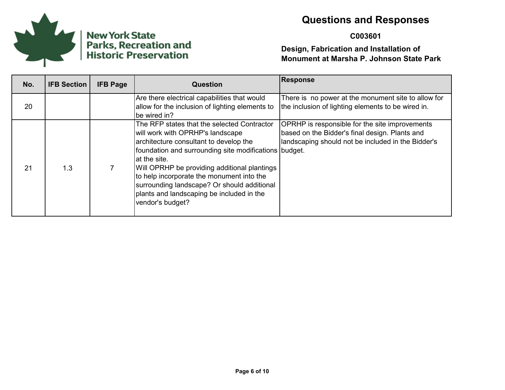

#### **C003601**

| No. | <b>IFB Section</b> | <b>IFB Page</b> | <b>Question</b>                                                                                                                                                                                                                                                                                                                                                                                                  | <b>Response</b>                                                                                                                                        |
|-----|--------------------|-----------------|------------------------------------------------------------------------------------------------------------------------------------------------------------------------------------------------------------------------------------------------------------------------------------------------------------------------------------------------------------------------------------------------------------------|--------------------------------------------------------------------------------------------------------------------------------------------------------|
| 20  |                    |                 | Are there electrical capabilities that would<br>allow for the inclusion of lighting elements to<br>be wired in?                                                                                                                                                                                                                                                                                                  | There is no power at the monument site to allow for<br>the inclusion of lighting elements to be wired in.                                              |
| 21  | 1.3                |                 | The RFP states that the selected Contractor<br>will work with OPRHP's landscape<br>architecture consultant to develop the<br>foundation and surrounding site modifications budget.<br>lat the site.<br>Will OPRHP be providing additional plantings<br>to help incorporate the monument into the<br>surrounding landscape? Or should additional<br>plants and landscaping be included in the<br>vendor's budget? | OPRHP is responsible for the site improvements<br>based on the Bidder's final design. Plants and<br>landscaping should not be included in the Bidder's |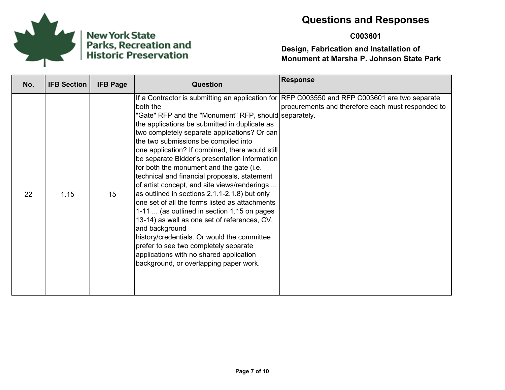

# New York State<br>Parks, Recreation and<br>Historic Preservation

# **Questions and Responses**

#### **C003601**

| No. | <b>IFB Section</b> | <b>IFB Page</b> | <b>Question</b>                                                                                                                                                                                                                                                                                                                                                                                                                                                                                                                                                                                                                                                                                                                                                                                                                                             | <b>Response</b>                                                                                                                                    |
|-----|--------------------|-----------------|-------------------------------------------------------------------------------------------------------------------------------------------------------------------------------------------------------------------------------------------------------------------------------------------------------------------------------------------------------------------------------------------------------------------------------------------------------------------------------------------------------------------------------------------------------------------------------------------------------------------------------------------------------------------------------------------------------------------------------------------------------------------------------------------------------------------------------------------------------------|----------------------------------------------------------------------------------------------------------------------------------------------------|
| 22  | 1.15               | 15              | both the<br>"Gate" RFP and the "Monument" RFP, should separately.<br>the applications be submitted in duplicate as<br>two completely separate applications? Or can<br>the two submissions be compiled into<br>one application? If combined, there would still<br>be separate Bidder's presentation information<br>for both the monument and the gate (i.e.<br>technical and financial proposals, statement<br>of artist concept, and site views/renderings<br>as outlined in sections 2.1.1-2.1.8) but only<br>one set of all the forms listed as attachments<br>1-11  (as outlined in section 1.15 on pages<br>13-14) as well as one set of references, CV,<br>and background<br>history/credentials. Or would the committee<br>prefer to see two completely separate<br>applications with no shared application<br>background, or overlapping paper work. | If a Contractor is submitting an application for RFP C003550 and RFP C003601 are two separate<br>procurements and therefore each must responded to |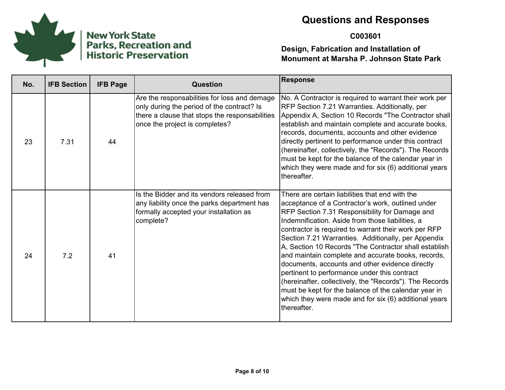

#### **C003601**

| No. | <b>IFB Section</b> | <b>IFB Page</b> | <b>Question</b>                                                                                                                                                                | <b>Response</b>                                                                                                                                                                                                                                                                                                                                                                                                                                                                                                                                                                                                                                                                                                                        |
|-----|--------------------|-----------------|--------------------------------------------------------------------------------------------------------------------------------------------------------------------------------|----------------------------------------------------------------------------------------------------------------------------------------------------------------------------------------------------------------------------------------------------------------------------------------------------------------------------------------------------------------------------------------------------------------------------------------------------------------------------------------------------------------------------------------------------------------------------------------------------------------------------------------------------------------------------------------------------------------------------------------|
| 23  | 7.31               | 44              | Are the responsabilities for loss and demage<br>only during the period of the contract? Is<br>there a clause that stops the responsabilities<br>once the project is completes? | No. A Contractor is required to warrant their work per<br>RFP Section 7.21 Warranties. Additionally, per<br>Appendix A, Section 10 Records "The Contractor shall<br>establish and maintain complete and accurate books,<br>records, documents, accounts and other evidence<br>directly pertinent to performance under this contract<br>(hereinafter, collectively, the "Records"). The Records<br>must be kept for the balance of the calendar year in<br>which they were made and for six (6) additional years<br>thereafter.                                                                                                                                                                                                         |
| 24  | 7.2                | 41              | Is the Bidder and its vendors released from<br>any liability once the parks department has<br>formally accepted your installation as<br>complete?                              | There are certain liabilities that end with the<br>acceptance of a Contractor's work, outlined under<br>RFP Section 7.31 Responsibility for Damage and<br>Indemnification. Aside from those liabilities, a<br>contractor is required to warrant their work per RFP<br>Section 7.21 Warranties. Additionally, per Appendix<br>A, Section 10 Records "The Contractor shall establish<br>and maintain complete and accurate books, records,<br>documents, accounts and other evidence directly<br>pertinent to performance under this contract<br>(hereinafter, collectively, the "Records"). The Records<br>must be kept for the balance of the calendar year in<br>which they were made and for six (6) additional years<br>thereafter. |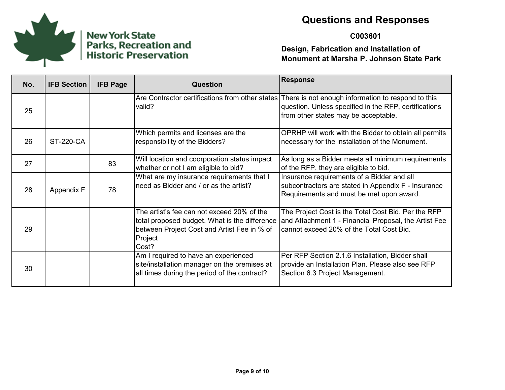

#### **C003601**

| No. | <b>IFB Section</b> | <b>IFB Page</b> | <b>Question</b>                                                                                                                                                | <b>Response</b>                                                                                                                                                                                     |
|-----|--------------------|-----------------|----------------------------------------------------------------------------------------------------------------------------------------------------------------|-----------------------------------------------------------------------------------------------------------------------------------------------------------------------------------------------------|
| 25  |                    |                 | valid?                                                                                                                                                         | Are Contractor certifications from other states There is not enough information to respond to this<br>question. Unless specified in the RFP, certifications<br>from other states may be acceptable. |
| 26  | <b>ST-220-CA</b>   |                 | Which permits and licenses are the<br>responsibility of the Bidders?                                                                                           | OPRHP will work with the Bidder to obtain all permits<br>necessary for the installation of the Monument.                                                                                            |
| 27  |                    | 83              | Will location and coorporation status impact<br>whether or not I am eligible to bid?                                                                           | As long as a Bidder meets all minimum requirements<br>of the RFP, they are eligible to bid.                                                                                                         |
| 28  | Appendix F         | 78              | What are my insurance requirements that I<br>need as Bidder and / or as the artist?                                                                            | Insurance requirements of a Bidder and all<br>subcontractors are stated in Appendix F - Insurance<br>Requirements and must be met upon award.                                                       |
| 29  |                    |                 | The artist's fee can not exceed 20% of the<br>total proposed budget. What is the difference<br>between Project Cost and Artist Fee in % of<br>Project<br>Cost? | The Project Cost is the Total Cost Bid. Per the RFP<br>and Attachment 1 - Financial Proposal, the Artist Fee<br>cannot exceed 20% of the Total Cost Bid.                                            |
| 30  |                    |                 | Am I required to have an experienced<br>site/installation manager on the premises at<br>all times during the period of the contract?                           | Per RFP Section 2.1.6 Installation, Bidder shall<br>provide an Installation Plan. Please also see RFP<br>Section 6.3 Project Management.                                                            |